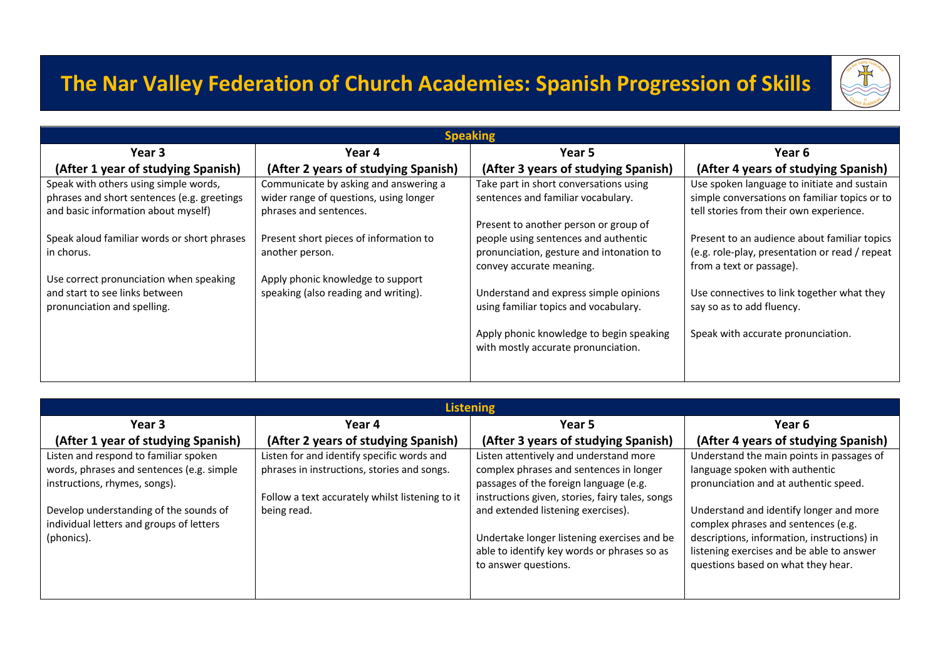## **The Nar Valley Federation of Church Academies: Spanish Progression of Skills**



| <b>Speaking</b>                             |                                        |                                          |                                                |
|---------------------------------------------|----------------------------------------|------------------------------------------|------------------------------------------------|
| Year 3                                      | Year 4                                 | Year 5                                   | Year 6                                         |
| (After 1 year of studying Spanish)          | (After 2 years of studying Spanish)    | (After 3 years of studying Spanish)      | (After 4 years of studying Spanish)            |
| Speak with others using simple words,       | Communicate by asking and answering a  | Take part in short conversations using   | Use spoken language to initiate and sustain    |
| phrases and short sentences (e.g. greetings | wider range of questions, using longer | sentences and familiar vocabulary.       | simple conversations on familiar topics or to  |
| and basic information about myself)         | phrases and sentences.                 |                                          | tell stories from their own experience.        |
|                                             |                                        | Present to another person or group of    |                                                |
| Speak aloud familiar words or short phrases | Present short pieces of information to | people using sentences and authentic     | Present to an audience about familiar topics   |
| in chorus.                                  | another person.                        | pronunciation, gesture and intonation to | (e.g. role-play, presentation or read / repeat |
|                                             |                                        | convey accurate meaning.                 | from a text or passage).                       |
| Use correct pronunciation when speaking     | Apply phonic knowledge to support      |                                          |                                                |
| and start to see links between              | speaking (also reading and writing).   | Understand and express simple opinions   | Use connectives to link together what they     |
| pronunciation and spelling.                 |                                        | using familiar topics and vocabulary.    | say so as to add fluency.                      |
|                                             |                                        |                                          |                                                |
|                                             |                                        | Apply phonic knowledge to begin speaking | Speak with accurate pronunciation.             |
|                                             |                                        | with mostly accurate pronunciation.      |                                                |
|                                             |                                        |                                          |                                                |
|                                             |                                        |                                          |                                                |

| <b>Listening</b>                                                                   |                                                 |                                                 |                                                                                |
|------------------------------------------------------------------------------------|-------------------------------------------------|-------------------------------------------------|--------------------------------------------------------------------------------|
| Year 3                                                                             | Year 4                                          | Year 5                                          | Year 6                                                                         |
| (After 1 year of studying Spanish)                                                 | (After 2 years of studying Spanish)             | (After 3 years of studying Spanish)             | (After 4 years of studying Spanish)                                            |
| Listen and respond to familiar spoken                                              | Listen for and identify specific words and      | Listen attentively and understand more          | Understand the main points in passages of                                      |
| words, phrases and sentences (e.g. simple                                          | phrases in instructions, stories and songs.     | complex phrases and sentences in longer         | language spoken with authentic                                                 |
| instructions, rhymes, songs).                                                      |                                                 | passages of the foreign language (e.g.          | pronunciation and at authentic speed.                                          |
|                                                                                    | Follow a text accurately whilst listening to it | instructions given, stories, fairy tales, songs |                                                                                |
| Develop understanding of the sounds of<br>individual letters and groups of letters | being read.                                     | and extended listening exercises).              | Understand and identify longer and more<br>complex phrases and sentences (e.g. |
| (phonics).                                                                         |                                                 | Undertake longer listening exercises and be     | descriptions, information, instructions) in                                    |
|                                                                                    |                                                 | able to identify key words or phrases so as     | listening exercises and be able to answer                                      |
|                                                                                    |                                                 | to answer questions.                            | questions based on what they hear.                                             |
|                                                                                    |                                                 |                                                 |                                                                                |
|                                                                                    |                                                 |                                                 |                                                                                |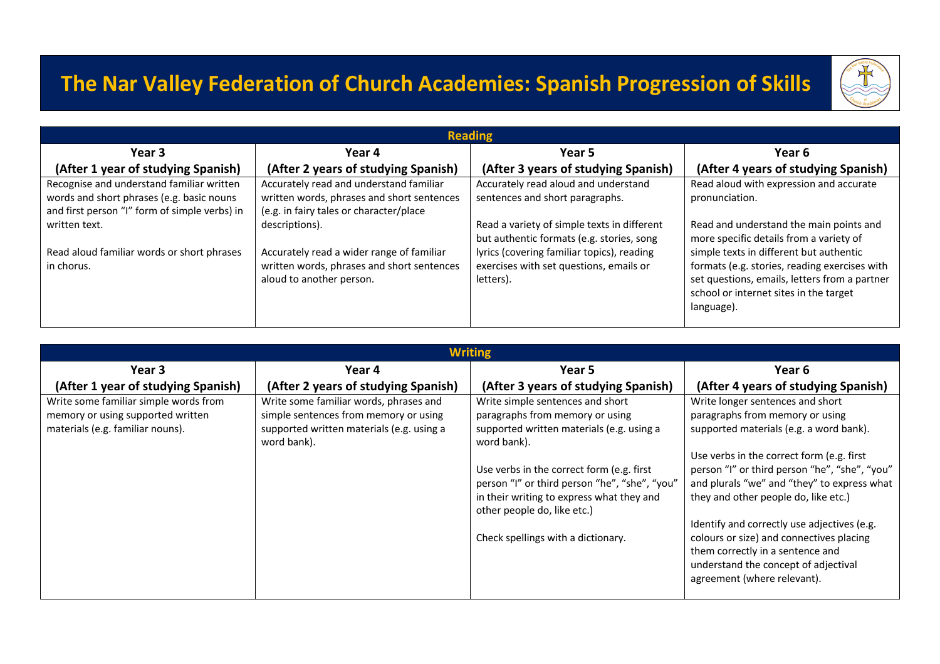## **The Nar Valley Federation of Church Academies: Spanish Progression of Skills**



| <b>Reading</b>                                                                                                                          |                                                                                                                                       |                                                                                                                                                                                                |                                                                                                                                                                                                                                                                                         |
|-----------------------------------------------------------------------------------------------------------------------------------------|---------------------------------------------------------------------------------------------------------------------------------------|------------------------------------------------------------------------------------------------------------------------------------------------------------------------------------------------|-----------------------------------------------------------------------------------------------------------------------------------------------------------------------------------------------------------------------------------------------------------------------------------------|
| Year 3                                                                                                                                  | Year 4                                                                                                                                | Year 5                                                                                                                                                                                         | Year 6                                                                                                                                                                                                                                                                                  |
| (After 1 year of studying Spanish)                                                                                                      | (After 2 years of studying Spanish)                                                                                                   | (After 3 years of studying Spanish)                                                                                                                                                            | (After 4 years of studying Spanish)                                                                                                                                                                                                                                                     |
| Recognise and understand familiar written<br>words and short phrases (e.g. basic nouns<br>and first person "I" form of simple verbs) in | Accurately read and understand familiar<br>written words, phrases and short sentences<br>(e.g. in fairy tales or character/place      | Accurately read aloud and understand<br>sentences and short paragraphs.                                                                                                                        | Read aloud with expression and accurate<br>pronunciation.                                                                                                                                                                                                                               |
| written text.<br>Read aloud familiar words or short phrases<br>in chorus.                                                               | descriptions).<br>Accurately read a wider range of familiar<br>written words, phrases and short sentences<br>aloud to another person. | Read a variety of simple texts in different<br>but authentic formats (e.g. stories, song<br>lyrics (covering familiar topics), reading<br>exercises with set questions, emails or<br>letters). | Read and understand the main points and<br>more specific details from a variety of<br>simple texts in different but authentic<br>formats (e.g. stories, reading exercises with<br>set questions, emails, letters from a partner<br>school or internet sites in the target<br>language). |

| <b>Writing</b>                        |                                                          |                                                                                                                                                                        |                                                                                                                                                                                                    |
|---------------------------------------|----------------------------------------------------------|------------------------------------------------------------------------------------------------------------------------------------------------------------------------|----------------------------------------------------------------------------------------------------------------------------------------------------------------------------------------------------|
| Year 3                                | Year 4                                                   | Year 5                                                                                                                                                                 | Year 6                                                                                                                                                                                             |
| (After 1 year of studying Spanish)    | (After 2 years of studying Spanish)                      | (After 3 years of studying Spanish)                                                                                                                                    | (After 4 years of studying Spanish)                                                                                                                                                                |
| Write some familiar simple words from | Write some familiar words, phrases and                   | Write simple sentences and short                                                                                                                                       | Write longer sentences and short                                                                                                                                                                   |
| memory or using supported written     | simple sentences from memory or using                    | paragraphs from memory or using                                                                                                                                        | paragraphs from memory or using                                                                                                                                                                    |
| materials (e.g. familiar nouns).      | supported written materials (e.g. using a<br>word bank). | supported written materials (e.g. using a<br>word bank).                                                                                                               | supported materials (e.g. a word bank).                                                                                                                                                            |
|                                       |                                                          | Use verbs in the correct form (e.g. first<br>person "I" or third person "he", "she", "you"<br>in their writing to express what they and<br>other people do, like etc.) | Use verbs in the correct form (e.g. first<br>person "I" or third person "he", "she", "you"<br>and plurals "we" and "they" to express what<br>they and other people do, like etc.)                  |
|                                       |                                                          | Check spellings with a dictionary.                                                                                                                                     | Identify and correctly use adjectives (e.g.<br>colours or size) and connectives placing<br>them correctly in a sentence and<br>understand the concept of adjectival<br>agreement (where relevant). |